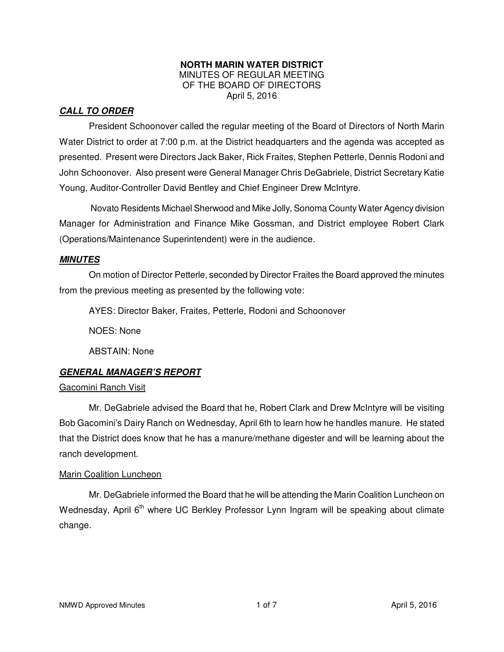#### **NORTH MARIN WATER DISTRICT**  MINUTES OF REGULAR MEETING OF THE BOARD OF DIRECTORS April 5, 2016

# **CALL TO ORDER**

President Schoonover called the regular meeting of the Board of Directors of North Marin Water District to order at 7:00 p.m. at the District headquarters and the agenda was accepted as presented. Present were Directors Jack Baker, Rick Fraites, Stephen Petterle, Dennis Rodoni and John Schoonover. Also present were General Manager Chris DeGabriele, District Secretary Katie Young, Auditor-Controller David Bentley and Chief Engineer Drew McIntyre.

Novato Residents Michael Sherwood and Mike Jolly, Sonoma County Water Agency division Manager for Administration and Finance Mike Gossman, and District employee Robert Clark (Operations/Maintenance Superintendent) were in the audience.

# **MINUTES**

 On motion of Director Petterle, seconded by Director Fraites the Board approved the minutes from the previous meeting as presented by the following vote:

AYES: Director Baker, Fraites, Petterle, Rodoni and Schoonover

NOES: None

ABSTAIN: None

# **GENERAL MANAGER'S REPORT**

# Gacomini Ranch Visit

 Mr. DeGabriele advised the Board that he, Robert Clark and Drew McIntyre will be visiting Bob Gacomini's Dairy Ranch on Wednesday, April 6th to learn how he handles manure. He stated that the District does know that he has a manure/methane digester and will be learning about the ranch development.

#### Marin Coalition Luncheon

 Mr. DeGabriele informed the Board that he will be attending the Marin Coalition Luncheon on Wednesday, April 6<sup>th</sup> where UC Berkley Professor Lynn Ingram will be speaking about climate change.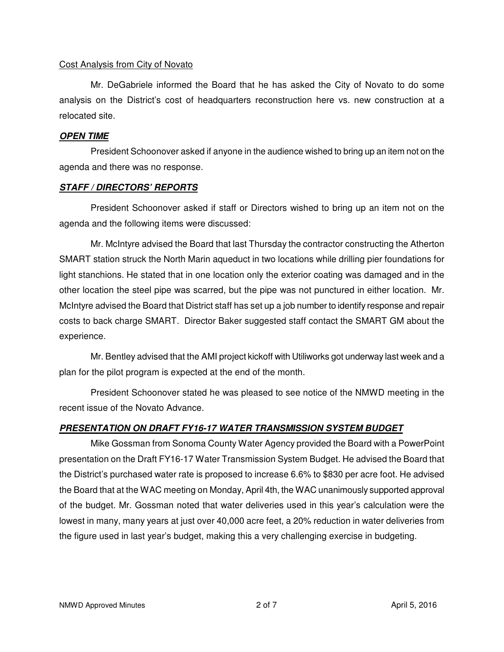#### Cost Analysis from City of Novato

Mr. DeGabriele informed the Board that he has asked the City of Novato to do some analysis on the District's cost of headquarters reconstruction here vs. new construction at a relocated site.

#### **OPEN TIME**

President Schoonover asked if anyone in the audience wished to bring up an item not on the agenda and there was no response.

# **STAFF / DIRECTORS' REPORTS**

President Schoonover asked if staff or Directors wished to bring up an item not on the agenda and the following items were discussed:

Mr. McIntyre advised the Board that last Thursday the contractor constructing the Atherton SMART station struck the North Marin aqueduct in two locations while drilling pier foundations for light stanchions. He stated that in one location only the exterior coating was damaged and in the other location the steel pipe was scarred, but the pipe was not punctured in either location. Mr. McIntyre advised the Board that District staff has set up a job number to identify response and repair costs to back charge SMART. Director Baker suggested staff contact the SMART GM about the experience.

Mr. Bentley advised that the AMI project kickoff with Utiliworks got underway last week and a plan for the pilot program is expected at the end of the month.

President Schoonover stated he was pleased to see notice of the NMWD meeting in the recent issue of the Novato Advance.

# **PRESENTATION ON DRAFT FY16-17 WATER TRANSMISSION SYSTEM BUDGET**

Mike Gossman from Sonoma County Water Agency provided the Board with a PowerPoint presentation on the Draft FY16-17 Water Transmission System Budget. He advised the Board that the District's purchased water rate is proposed to increase 6.6% to \$830 per acre foot. He advised the Board that at the WAC meeting on Monday, April 4th, the WAC unanimously supported approval of the budget. Mr. Gossman noted that water deliveries used in this year's calculation were the lowest in many, many years at just over 40,000 acre feet, a 20% reduction in water deliveries from the figure used in last year's budget, making this a very challenging exercise in budgeting.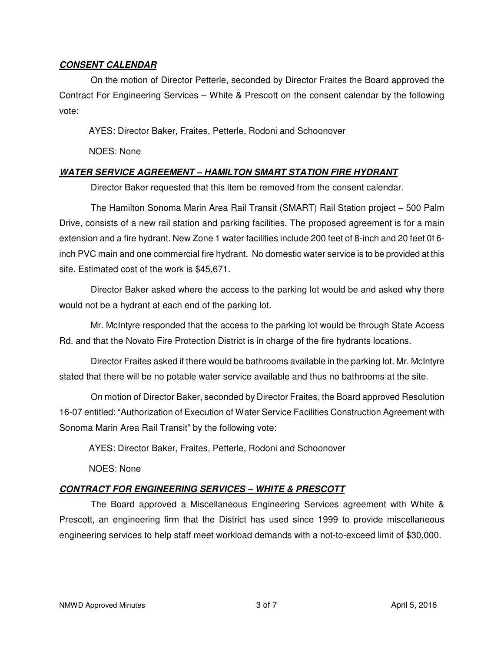#### **CONSENT CALENDAR**

On the motion of Director Petterle, seconded by Director Fraites the Board approved the Contract For Engineering Services – White & Prescott on the consent calendar by the following vote:

AYES: Director Baker, Fraites, Petterle, Rodoni and Schoonover

NOES: None

#### **WATER SERVICE AGREEMENT – HAMILTON SMART STATION FIRE HYDRANT**

Director Baker requested that this item be removed from the consent calendar.

The Hamilton Sonoma Marin Area Rail Transit (SMART) Rail Station project – 500 Palm Drive, consists of a new rail station and parking facilities. The proposed agreement is for a main extension and a fire hydrant. New Zone 1 water facilities include 200 feet of 8-inch and 20 feet 0f 6 inch PVC main and one commercial fire hydrant. No domestic water service is to be provided at this site. Estimated cost of the work is \$45,671.

Director Baker asked where the access to the parking lot would be and asked why there would not be a hydrant at each end of the parking lot.

Mr. McIntyre responded that the access to the parking lot would be through State Access Rd. and that the Novato Fire Protection District is in charge of the fire hydrants locations.

Director Fraites asked if there would be bathrooms available in the parking lot. Mr. McIntyre stated that there will be no potable water service available and thus no bathrooms at the site.

On motion of Director Baker, seconded by Director Fraites, the Board approved Resolution 16-07 entitled: "Authorization of Execution of Water Service Facilities Construction Agreement with Sonoma Marin Area Rail Transit" by the following vote:

AYES: Director Baker, Fraites, Petterle, Rodoni and Schoonover

NOES: None

# **CONTRACT FOR ENGINEERING SERVICES – WHITE & PRESCOTT**

The Board approved a Miscellaneous Engineering Services agreement with White & Prescott, an engineering firm that the District has used since 1999 to provide miscellaneous engineering services to help staff meet workload demands with a not-to-exceed limit of \$30,000.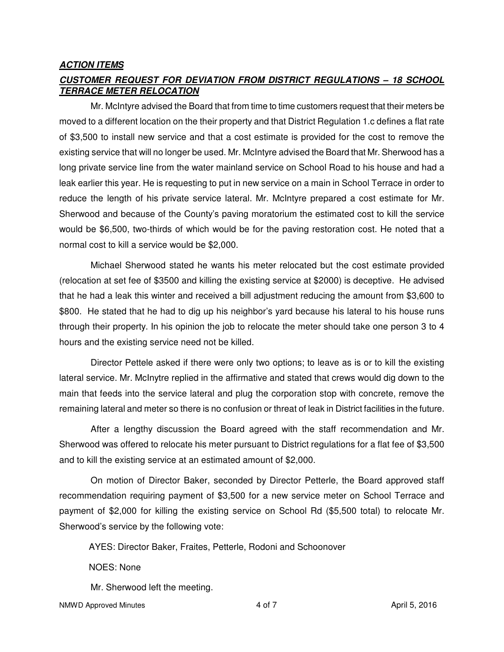#### **ACTION ITEMS**

## **CUSTOMER REQUEST FOR DEVIATION FROM DISTRICT REGULATIONS – 18 SCHOOL TERRACE METER RELOCATION**

Mr. McIntyre advised the Board that from time to time customers request that their meters be moved to a different location on the their property and that District Regulation 1.c defines a flat rate of \$3,500 to install new service and that a cost estimate is provided for the cost to remove the existing service that will no longer be used. Mr. McIntyre advised the Board that Mr. Sherwood has a long private service line from the water mainland service on School Road to his house and had a leak earlier this year. He is requesting to put in new service on a main in School Terrace in order to reduce the length of his private service lateral. Mr. McIntyre prepared a cost estimate for Mr. Sherwood and because of the County's paving moratorium the estimated cost to kill the service would be \$6,500, two-thirds of which would be for the paving restoration cost. He noted that a normal cost to kill a service would be \$2,000.

Michael Sherwood stated he wants his meter relocated but the cost estimate provided (relocation at set fee of \$3500 and killing the existing service at \$2000) is deceptive. He advised that he had a leak this winter and received a bill adjustment reducing the amount from \$3,600 to \$800. He stated that he had to dig up his neighbor's yard because his lateral to his house runs through their property. In his opinion the job to relocate the meter should take one person 3 to 4 hours and the existing service need not be killed.

Director Pettele asked if there were only two options; to leave as is or to kill the existing lateral service. Mr. McInytre replied in the affirmative and stated that crews would dig down to the main that feeds into the service lateral and plug the corporation stop with concrete, remove the remaining lateral and meter so there is no confusion or threat of leak in District facilities in the future.

After a lengthy discussion the Board agreed with the staff recommendation and Mr. Sherwood was offered to relocate his meter pursuant to District regulations for a flat fee of \$3,500 and to kill the existing service at an estimated amount of \$2,000.

On motion of Director Baker, seconded by Director Petterle, the Board approved staff recommendation requiring payment of \$3,500 for a new service meter on School Terrace and payment of \$2,000 for killing the existing service on School Rd (\$5,500 total) to relocate Mr. Sherwood's service by the following vote:

AYES: Director Baker, Fraites, Petterle, Rodoni and Schoonover

NOES: None

Mr. Sherwood left the meeting.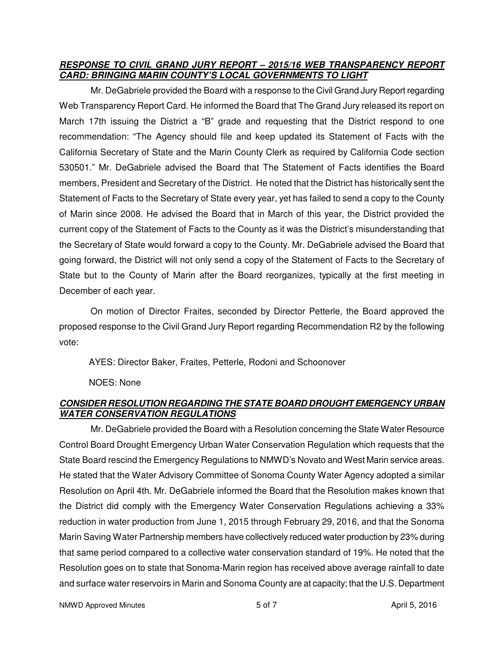#### **RESPONSE TO CIVIL GRAND JURY REPORT – 2015/16 WEB TRANSPARENCY REPORT CARD: BRINGING MARIN COUNTY'S LOCAL GOVERNMENTS TO LIGHT**

Mr. DeGabriele provided the Board with a response to the Civil Grand Jury Report regarding Web Transparency Report Card. He informed the Board that The Grand Jury released its report on March 17th issuing the District a "B" grade and requesting that the District respond to one recommendation: "The Agency should file and keep updated its Statement of Facts with the California Secretary of State and the Marin County Clerk as required by California Code section 530501." Mr. DeGabriele advised the Board that The Statement of Facts identifies the Board members, President and Secretary of the District. He noted that the District has historically sent the Statement of Facts to the Secretary of State every year, yet has failed to send a copy to the County of Marin since 2008. He advised the Board that in March of this year, the District provided the current copy of the Statement of Facts to the County as it was the District's misunderstanding that the Secretary of State would forward a copy to the County. Mr. DeGabriele advised the Board that going forward, the District will not only send a copy of the Statement of Facts to the Secretary of State but to the County of Marin after the Board reorganizes, typically at the first meeting in December of each year.

On motion of Director Fraites, seconded by Director Petterle, the Board approved the proposed response to the Civil Grand Jury Report regarding Recommendation R2 by the following vote:

AYES: Director Baker, Fraites, Petterle, Rodoni and Schoonover

NOES: None

# **CONSIDER RESOLUTION REGARDING THE STATE BOARD DROUGHT EMERGENCY URBAN WATER CONSERVATION REGULATIONS**

Mr. DeGabriele provided the Board with a Resolution concerning the State Water Resource Control Board Drought Emergency Urban Water Conservation Regulation which requests that the State Board rescind the Emergency Regulations to NMWD's Novato and West Marin service areas. He stated that the Water Advisory Committee of Sonoma County Water Agency adopted a similar Resolution on April 4th. Mr. DeGabriele informed the Board that the Resolution makes known that the District did comply with the Emergency Water Conservation Regulations achieving a 33% reduction in water production from June 1, 2015 through February 29, 2016, and that the Sonoma Marin Saving Water Partnership members have collectively reduced water production by 23% during that same period compared to a collective water conservation standard of 19%. He noted that the Resolution goes on to state that Sonoma-Marin region has received above average rainfall to date and surface water reservoirs in Marin and Sonoma County are at capacity; that the U.S. Department

NMWD Approved Minutes 5 of 7 April 5, 2016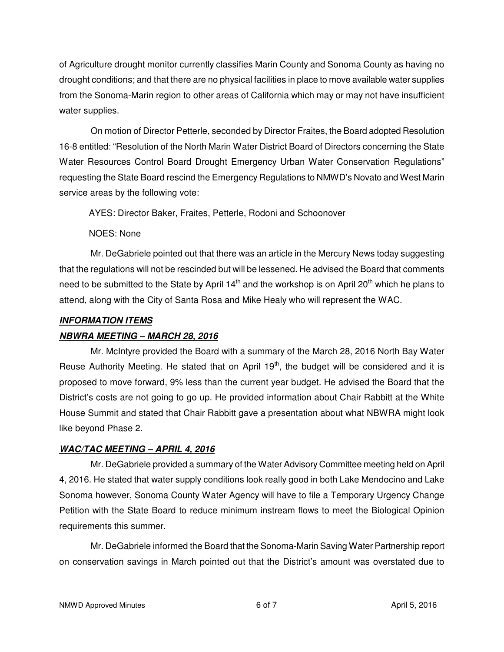of Agriculture drought monitor currently classifies Marin County and Sonoma County as having no drought conditions; and that there are no physical facilities in place to move available water supplies from the Sonoma-Marin region to other areas of California which may or may not have insufficient water supplies.

On motion of Director Petterle, seconded by Director Fraites, the Board adopted Resolution 16-8 entitled: "Resolution of the North Marin Water District Board of Directors concerning the State Water Resources Control Board Drought Emergency Urban Water Conservation Regulations" requesting the State Board rescind the Emergency Regulations to NMWD's Novato and West Marin service areas by the following vote:

AYES: Director Baker, Fraites, Petterle, Rodoni and Schoonover

NOES: None

Mr. DeGabriele pointed out that there was an article in the Mercury News today suggesting that the regulations will not be rescinded but will be lessened. He advised the Board that comments need to be submitted to the State by April  $14<sup>th</sup>$  and the workshop is on April 20<sup>th</sup> which he plans to attend, along with the City of Santa Rosa and Mike Healy who will represent the WAC.

# **INFORMATION ITEMS**

# **NBWRA MEETING – MARCH 28, 2016**

Mr. McIntyre provided the Board with a summary of the March 28, 2016 North Bay Water Reuse Authority Meeting. He stated that on April  $19<sup>th</sup>$ , the budget will be considered and it is proposed to move forward, 9% less than the current year budget. He advised the Board that the District's costs are not going to go up. He provided information about Chair Rabbitt at the White House Summit and stated that Chair Rabbitt gave a presentation about what NBWRA might look like beyond Phase 2.

# **WAC/TAC MEETING – APRIL 4, 2016**

Mr. DeGabriele provided a summary of the Water Advisory Committee meeting held on April 4, 2016. He stated that water supply conditions look really good in both Lake Mendocino and Lake Sonoma however, Sonoma County Water Agency will have to file a Temporary Urgency Change Petition with the State Board to reduce minimum instream flows to meet the Biological Opinion requirements this summer.

Mr. DeGabriele informed the Board that the Sonoma-Marin Saving Water Partnership report on conservation savings in March pointed out that the District's amount was overstated due to